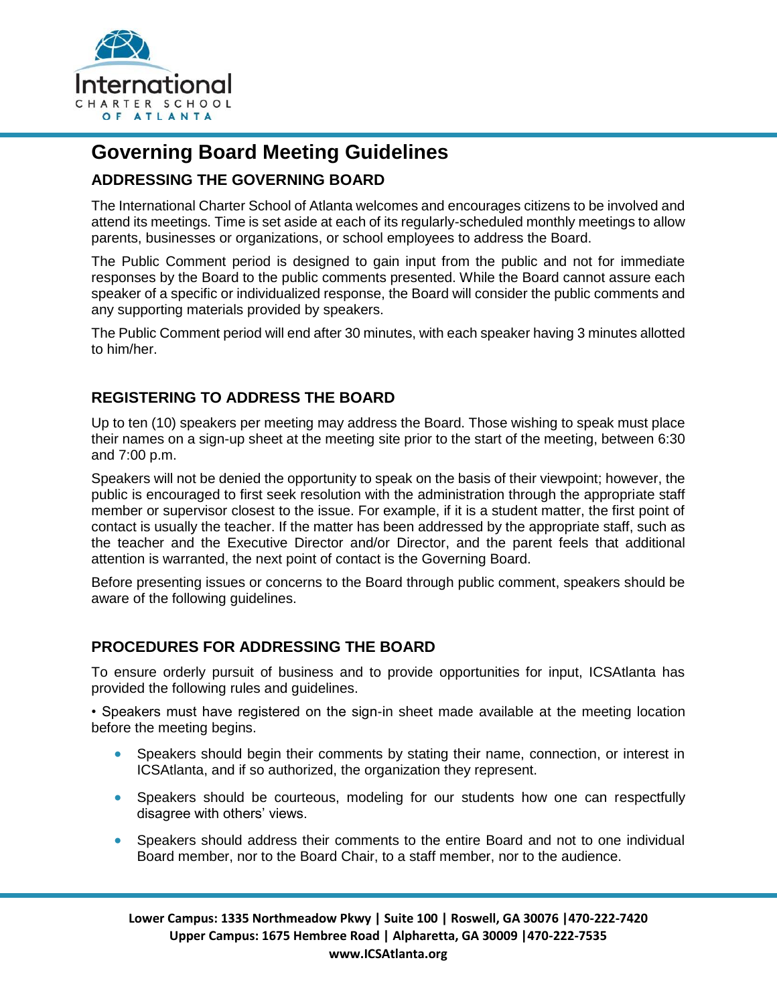

# **Governing Board Meeting Guidelines**

## **ADDRESSING THE GOVERNING BOARD**

The International Charter School of Atlanta welcomes and encourages citizens to be involved and attend its meetings. Time is set aside at each of its regularly-scheduled monthly meetings to allow parents, businesses or organizations, or school employees to address the Board.

The Public Comment period is designed to gain input from the public and not for immediate responses by the Board to the public comments presented. While the Board cannot assure each speaker of a specific or individualized response, the Board will consider the public comments and any supporting materials provided by speakers.

The Public Comment period will end after 30 minutes, with each speaker having 3 minutes allotted to him/her.

### **REGISTERING TO ADDRESS THE BOARD**

Up to ten (10) speakers per meeting may address the Board. Those wishing to speak must place their names on a sign-up sheet at the meeting site prior to the start of the meeting, between 6:30 and 7:00 p.m.

Speakers will not be denied the opportunity to speak on the basis of their viewpoint; however, the public is encouraged to first seek resolution with the administration through the appropriate staff member or supervisor closest to the issue. For example, if it is a student matter, the first point of contact is usually the teacher. If the matter has been addressed by the appropriate staff, such as the teacher and the Executive Director and/or Director, and the parent feels that additional attention is warranted, the next point of contact is the Governing Board.

Before presenting issues or concerns to the Board through public comment, speakers should be aware of the following guidelines.

### **PROCEDURES FOR ADDRESSING THE BOARD**

To ensure orderly pursuit of business and to provide opportunities for input, ICSAtlanta has provided the following rules and guidelines.

• Speakers must have registered on the sign-in sheet made available at the meeting location before the meeting begins.

- Speakers should begin their comments by stating their name, connection, or interest in ICSAtlanta, and if so authorized, the organization they represent.
- Speakers should be courteous, modeling for our students how one can respectfully disagree with others' views.
- Speakers should address their comments to the entire Board and not to one individual Board member, nor to the Board Chair, to a staff member, nor to the audience.